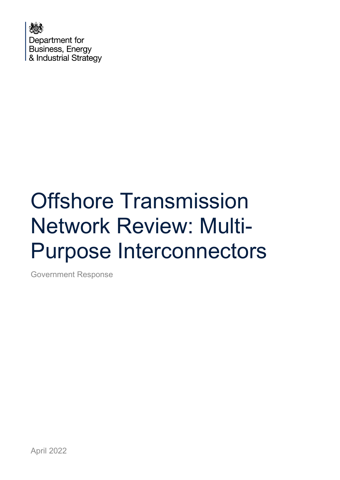

# Offshore Transmission Network Review: Multi-Purpose Interconnectors

Government Response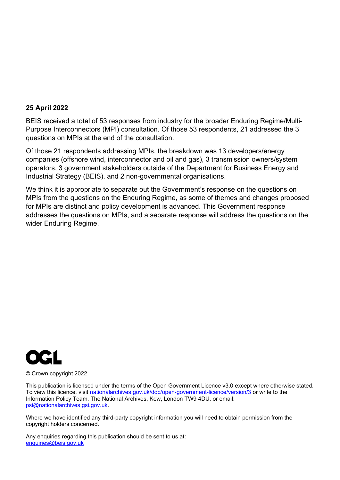#### **25 April 2022**

BEIS received a total of 53 responses from industry for the broader Enduring Regime/Multi-Purpose Interconnectors (MPI) consultation. Of those 53 respondents, 21 addressed the 3 questions on MPIs at the end of the consultation.

Of those 21 respondents addressing MPIs, the breakdown was 13 developers/energy companies (offshore wind, interconnector and oil and gas), 3 transmission owners/system operators, 3 government stakeholders outside of the Department for Business Energy and Industrial Strategy (BEIS), and 2 non-governmental organisations.

We think it is appropriate to separate out the Government's response on the questions on MPIs from the questions on the Enduring Regime, as some of themes and changes proposed for MPIs are distinct and policy development is advanced. This Government response addresses the questions on MPIs, and a separate response will address the questions on the wider Enduring Regime.



#### © Crown copyright 2022

This publication is licensed under the terms of the Open Government Licence v3.0 except where otherwise stated. To view this licence, visit [nationalarchives.gov.uk/doc/open-government-licence/version/3](http://nationalarchives.gov.uk/doc/open-government-licence/version/3/) or write to the Information Policy Team, The National Archives, Kew, London TW9 4DU, or email: [psi@nationalarchives.gsi.gov.uk.](mailto:psi@nationalarchives.gsi.gov.uk)

Where we have identified any third-party copyright information you will need to obtain permission from the copyright holders concerned.

Any enquiries regarding this publication should be sent to us at: [enquiries@beis.gov.uk](mailto:enquiries@beis.gov.uk)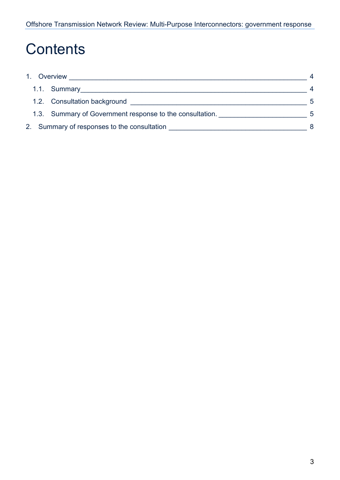# **Contents**

| 1. Overview                                              |   |
|----------------------------------------------------------|---|
|                                                          |   |
| 1.2. Consultation background                             | 5 |
| 1.3. Summary of Government response to the consultation. | 5 |
| 2. Summary of responses to the consultation              | 8 |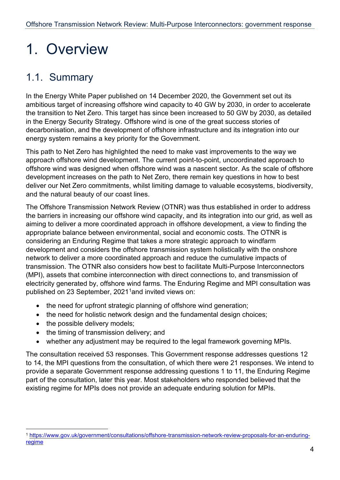# <span id="page-3-0"></span>1. Overview

## <span id="page-3-1"></span>1.1. Summary

In the Energy White Paper published on 14 December 2020, the Government set out its ambitious target of increasing offshore wind capacity to 40 GW by 2030, in order to accelerate the transition to Net Zero. This target has since been increased to 50 GW by 2030, as detailed in the Energy Security Strategy. Offshore wind is one of the great success stories of decarbonisation, and the development of offshore infrastructure and its integration into our energy system remains a key priority for the Government.

This path to Net Zero has highlighted the need to make vast improvements to the way we approach offshore wind development. The current point-to-point, uncoordinated approach to offshore wind was designed when offshore wind was a nascent sector. As the scale of offshore development increases on the path to Net Zero, there remain key questions in how to best deliver our Net Zero commitments, whilst limiting damage to valuable ecosystems, biodiversity, and the natural beauty of our coast lines.

The Offshore Transmission Network Review (OTNR) was thus established in order to address the barriers in increasing our offshore wind capacity, and its integration into our grid, as well as aiming to deliver a more coordinated approach in offshore development, a view to finding the appropriate balance between environmental, social and economic costs. The OTNR is considering an Enduring Regime that takes a more strategic approach to windfarm development and considers the offshore transmission system holistically with the onshore network to deliver a more coordinated approach and reduce the cumulative impacts of transmission. The OTNR also considers how best to facilitate Multi-Purpose Interconnectors (MPI), assets that combine interconnection with direct connections to, and transmission of electricity generated by, offshore wind farms. The Enduring Regime and MPI consultation was published on 23 September, 202[1](#page-3-2)<sup>1</sup>and invited views on:

- the need for upfront strategic planning of offshore wind generation;
- the need for holistic network design and the fundamental design choices;
- the possible delivery models;
- the timing of transmission delivery; and
- whether any adjustment may be required to the legal framework governing MPIs.

The consultation received 53 responses. This Government response addresses questions 12 to 14, the MPI questions from the consultation, of which there were 21 responses. We intend to provide a separate Government response addressing questions 1 to 11, the Enduring Regime part of the consultation, later this year. Most stakeholders who responded believed that the existing regime for MPIs does not provide an adequate enduring solution for MPIs.

<span id="page-3-2"></span><sup>1</sup> [https://www.gov.uk/government/consultations/offshore-transmission-network-review-proposals-for-an-enduring](https://www.gov.uk/government/consultations/offshore-transmission-network-review-proposals-for-an-enduring-regime)[regime](https://www.gov.uk/government/consultations/offshore-transmission-network-review-proposals-for-an-enduring-regime)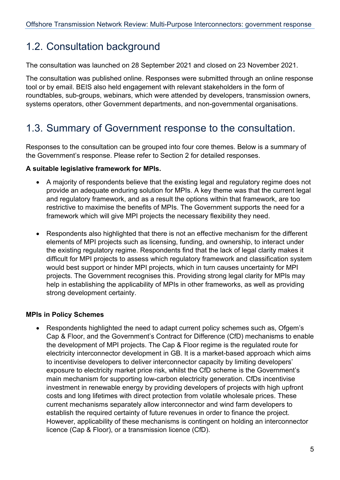### <span id="page-4-0"></span>1.2. Consultation background

The consultation was launched on 28 September 2021 and closed on 23 November 2021.

The consultation was published online. Responses were submitted through an online response tool or by email. BEIS also held engagement with relevant stakeholders in the form of roundtables, sub-groups, webinars, which were attended by developers, transmission owners, systems operators, other Government departments, and non-governmental organisations.

### <span id="page-4-1"></span>1.3. Summary of Government response to the consultation.

Responses to the consultation can be grouped into four core themes. Below is a summary of the Government's response. Please refer to Section 2 for detailed responses.

### **A suitable legislative framework for MPIs.**

- A majority of respondents believe that the existing legal and regulatory regime does not provide an adequate enduring solution for MPIs. A key theme was that the current legal and regulatory framework, and as a result the options within that framework, are too restrictive to maximise the benefits of MPIs. The Government supports the need for a framework which will give MPI projects the necessary flexibility they need.
- Respondents also highlighted that there is not an effective mechanism for the different elements of MPI projects such as licensing, funding, and ownership, to interact under the existing regulatory regime. Respondents find that the lack of legal clarity makes it difficult for MPI projects to assess which regulatory framework and classification system would best support or hinder MPI projects, which in turn causes uncertainty for MPI projects. The Government recognises this. Providing strong legal clarity for MPIs may help in establishing the applicability of MPIs in other frameworks, as well as providing strong development certainty.

### **MPIs in Policy Schemes**

• Respondents highlighted the need to adapt current policy schemes such as, Ofgem's Cap & Floor, and the Government's Contract for Difference (CfD) mechanisms to enable the development of MPI projects. The Cap & Floor regime is the regulated route for electricity interconnector development in GB. It is a market-based approach which aims to incentivise developers to deliver interconnector capacity by limiting developers' exposure to electricity market price risk, whilst the CfD scheme is the Government's main mechanism for supporting low-carbon electricity generation. CfDs incentivise investment in renewable energy by providing developers of projects with high upfront costs and long lifetimes with direct protection from volatile wholesale prices. These current mechanisms separately allow interconnector and wind farm developers to establish the required certainty of future revenues in order to finance the project. However, applicability of these mechanisms is contingent on holding an interconnector licence (Cap & Floor), or a transmission licence (CfD).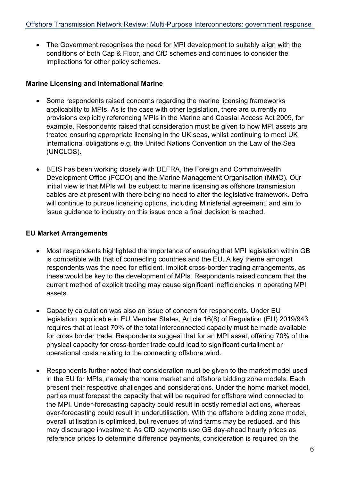• The Government recognises the need for MPI development to suitably align with the conditions of both Cap & Floor, and CfD schemes and continues to consider the implications for other policy schemes.

### **Marine Licensing and International Marine**

- Some respondents raised concerns regarding the marine licensing frameworks applicability to MPIs. As is the case with other legislation, there are currently no provisions explicitly referencing MPIs in the Marine and Coastal Access Act 2009, for example. Respondents raised that consideration must be given to how MPI assets are treated ensuring appropriate licensing in the UK seas, whilst continuing to meet UK international obligations e.g. the United Nations Convention on the Law of the Sea (UNCLOS).
- BEIS has been working closely with DEFRA, the Foreign and Commonwealth Development Office (FCDO) and the Marine Management Organisation (MMO). Our initial view is that MPIs will be subject to marine licensing as offshore transmission cables are at present with there being no need to alter the legislative framework. Defra will continue to pursue licensing options, including Ministerial agreement, and aim to issue guidance to industry on this issue once a final decision is reached.

#### **EU Market Arrangements**

- Most respondents highlighted the importance of ensuring that MPI legislation within GB is compatible with that of connecting countries and the EU. A key theme amongst respondents was the need for efficient, implicit cross-border trading arrangements, as these would be key to the development of MPIs. Respondents raised concern that the current method of explicit trading may cause significant inefficiencies in operating MPI assets.
- Capacity calculation was also an issue of concern for respondents. Under EU legislation, applicable in EU Member States, Article 16(8) of Regulation (EU) 2019/943 requires that at least 70% of the total interconnected capacity must be made available for cross border trade. Respondents suggest that for an MPI asset, offering 70% of the physical capacity for cross-border trade could lead to significant curtailment or operational costs relating to the connecting offshore wind.
- Respondents further noted that consideration must be given to the market model used in the EU for MPIs, namely the home market and offshore bidding zone models. Each present their respective challenges and considerations. Under the home market model, parties must forecast the capacity that will be required for offshore wind connected to the MPI. Under-forecasting capacity could result in costly remedial actions, whereas over-forecasting could result in underutilisation. With the offshore bidding zone model, overall utilisation is optimised, but revenues of wind farms may be reduced, and this may discourage investment. As CfD payments use GB day-ahead hourly prices as reference prices to determine difference payments, consideration is required on the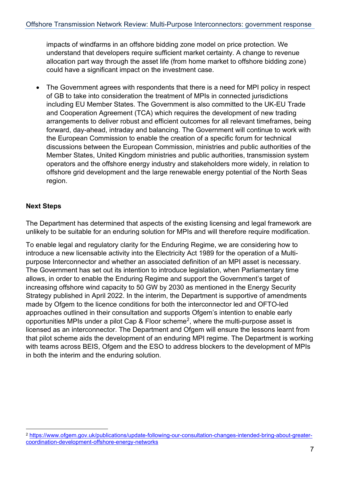impacts of windfarms in an offshore bidding zone model on price protection. We understand that developers require sufficient market certainty. A change to revenue allocation part way through the asset life (from home market to offshore bidding zone) could have a significant impact on the investment case.

• The Government agrees with respondents that there is a need for MPI policy in respect of GB to take into consideration the treatment of MPIs in connected jurisdictions including EU Member States. The Government is also committed to the UK-EU Trade and Cooperation Agreement (TCA) which requires the development of new trading arrangements to deliver robust and efficient outcomes for all relevant timeframes, being forward, day-ahead, intraday and balancing. The Government will continue to work with the European Commission to enable the creation of a specific forum for technical discussions between the European Commission, ministries and public authorities of the Member States, United Kingdom ministries and public authorities, transmission system operators and the offshore energy industry and stakeholders more widely, in relation to offshore grid development and the large renewable energy potential of the North Seas region.

### **Next Steps**

The Department has determined that aspects of the existing licensing and legal framework are unlikely to be suitable for an enduring solution for MPIs and will therefore require modification.

To enable legal and regulatory clarity for the Enduring Regime, we are considering how to introduce a new licensable activity into the Electricity Act 1989 for the operation of a Multipurpose Interconnector and whether an associated definition of an MPI asset is necessary. The Government has set out its intention to introduce legislation, when Parliamentary time allows, in order to enable the Enduring Regime and support the Government's target of increasing offshore wind capacity to 50 GW by 2030 as mentioned in the Energy Security Strategy published in April 2022. In the interim, the Department is supportive of amendments made by Ofgem to the licence conditions for both the interconnector led and OFTO-led approaches outlined in their consultation and supports Ofgem's intention to enable early opportunities MPIs under a pilot Cap & Floor scheme<sup>2</sup>, where the multi-purpose asset is licensed as an interconnector. The Department and Ofgem will ensure the lessons learnt from that pilot scheme aids the development of an enduring MPI regime. The Department is working with teams across BEIS, Ofgem and the ESO to address blockers to the development of MPIs in both the interim and the enduring solution.

<span id="page-6-0"></span><sup>2</sup> [https://www.ofgem.gov.uk/publications/update-following-our-consultation-changes-intended-bring-about-greater](https://www.ofgem.gov.uk/publications/update-following-our-consultation-changes-intended-bring-about-greater-coordination-development-offshore-energy-networks)[coordination-development-offshore-energy-networks](https://www.ofgem.gov.uk/publications/update-following-our-consultation-changes-intended-bring-about-greater-coordination-development-offshore-energy-networks)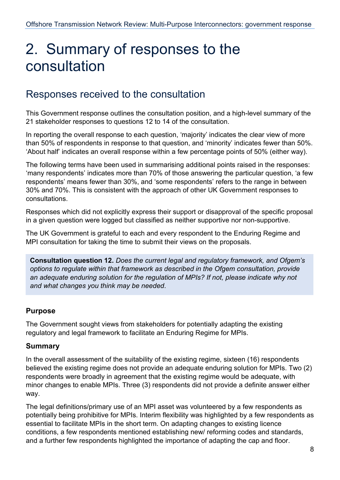# <span id="page-7-0"></span>2. Summary of responses to the consultation

### Responses received to the consultation

This Government response outlines the consultation position, and a high-level summary of the 21 stakeholder responses to questions 12 to 14 of the consultation.

In reporting the overall response to each question, 'majority' indicates the clear view of more than 50% of respondents in response to that question, and 'minority' indicates fewer than 50%. 'About half' indicates an overall response within a few percentage points of 50% (either way).

The following terms have been used in summarising additional points raised in the responses: 'many respondents' indicates more than 70% of those answering the particular question, 'a few respondents' means fewer than 30%, and 'some respondents' refers to the range in between 30% and 70%. This is consistent with the approach of other UK Government responses to consultations.

Responses which did not explicitly express their support or disapproval of the specific proposal in a given question were logged but classified as neither supportive nor non-supportive.

The UK Government is grateful to each and every respondent to the Enduring Regime and MPI consultation for taking the time to submit their views on the proposals.

**Consultation question 12.** *Does the current legal and regulatory framework, and Ofgem's options to regulate within that framework as described in the Ofgem consultation, provide an adequate enduring solution for the regulation of MPIs? If not, please indicate why not and what changes you think may be needed*.

### **Purpose**

The Government sought views from stakeholders for potentially adapting the existing regulatory and legal framework to facilitate an Enduring Regime for MPIs.

### **Summary**

In the overall assessment of the suitability of the existing regime, sixteen (16) respondents believed the existing regime does not provide an adequate enduring solution for MPIs. Two (2) respondents were broadly in agreement that the existing regime would be adequate, with minor changes to enable MPIs. Three (3) respondents did not provide a definite answer either way.

The legal definitions/primary use of an MPI asset was volunteered by a few respondents as potentially being prohibitive for MPIs. Interim flexibility was highlighted by a few respondents as essential to facilitate MPIs in the short term. On adapting changes to existing licence conditions, a few respondents mentioned establishing new/ reforming codes and standards, and a further few respondents highlighted the importance of adapting the cap and floor.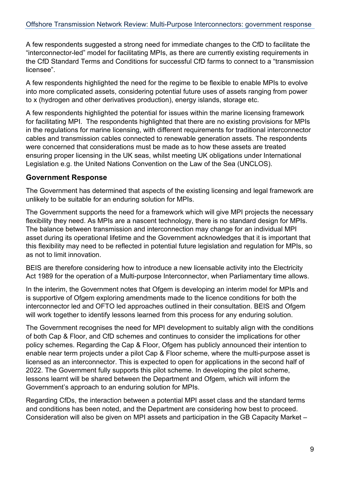A few respondents suggested a strong need for immediate changes to the CfD to facilitate the "interconnector-led" model for facilitating MPIs, as there are currently existing requirements in the CfD Standard Terms and Conditions for successful CfD farms to connect to a "transmission licensee".

A few respondents highlighted the need for the regime to be flexible to enable MPIs to evolve into more complicated assets, considering potential future uses of assets ranging from power to x (hydrogen and other derivatives production), energy islands, storage etc.

A few respondents highlighted the potential for issues within the marine licensing framework for facilitating MPI. The respondents highlighted that there are no existing provisions for MPIs in the regulations for marine licensing, with different requirements for traditional interconnector cables and transmission cables connected to renewable generation assets. The respondents were concerned that considerations must be made as to how these assets are treated ensuring proper licensing in the UK seas, whilst meeting UK obligations under International Legislation e.g. the United Nations Convention on the Law of the Sea (UNCLOS).

### **Government Response**

The Government has determined that aspects of the existing licensing and legal framework are unlikely to be suitable for an enduring solution for MPIs.

The Government supports the need for a framework which will give MPI projects the necessary flexibility they need. As MPIs are a nascent technology, there is no standard design for MPIs. The balance between transmission and interconnection may change for an individual MPI asset during its operational lifetime and the Government acknowledges that it is important that this flexibility may need to be reflected in potential future legislation and regulation for MPIs, so as not to limit innovation.

BEIS are therefore considering how to introduce a new licensable activity into the Electricity Act 1989 for the operation of a Multi-purpose Interconnector, when Parliamentary time allows.

In the interim, the Government notes that Ofgem is developing an interim model for MPIs and is supportive of Ofgem exploring amendments made to the licence conditions for both the interconnector led and OFTO led approaches outlined in their consultation. BEIS and Ofgem will work together to identify lessons learned from this process for any enduring solution.

The Government recognises the need for MPI development to suitably align with the conditions of both Cap & Floor, and CfD schemes and continues to consider the implications for other policy schemes. Regarding the Cap & Floor, Ofgem has publicly announced their intention to enable near term projects under a pilot Cap & Floor scheme, where the multi-purpose asset is licensed as an interconnector. This is expected to open for applications in the second half of 2022. The Government fully supports this pilot scheme. In developing the pilot scheme, lessons learnt will be shared between the Department and Ofgem, which will inform the Government's approach to an enduring solution for MPIs.

Regarding CfDs, the interaction between a potential MPI asset class and the standard terms and conditions has been noted, and the Department are considering how best to proceed. Consideration will also be given on MPI assets and participation in the GB Capacity Market –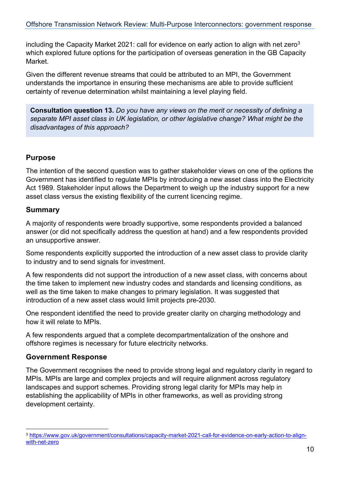including the Capacity Market 2021: call for evidence on early action to align with net zero<sup>[3](#page-9-0)</sup> which explored future options for the participation of overseas generation in the GB Capacity Market.

Given the different revenue streams that could be attributed to an MPI, the Government understands the importance in ensuring these mechanisms are able to provide sufficient certainty of revenue determination whilst maintaining a level playing field.

**Consultation question 13.** *Do you have any views on the merit or necessity of defining a separate MPI asset class in UK legislation, or other legislative change? What might be the disadvantages of this approach?*

### **Purpose**

The intention of the second question was to gather stakeholder views on one of the options the Government has identified to regulate MPIs by introducing a new asset class into the Electricity Act 1989. Stakeholder input allows the Department to weigh up the industry support for a new asset class versus the existing flexibility of the current licencing regime.

### **Summary**

A majority of respondents were broadly supportive, some respondents provided a balanced answer (or did not specifically address the question at hand) and a few respondents provided an unsupportive answer.

Some respondents explicitly supported the introduction of a new asset class to provide clarity to industry and to send signals for investment.

A few respondents did not support the introduction of a new asset class, with concerns about the time taken to implement new industry codes and standards and licensing conditions, as well as the time taken to make changes to primary legislation. It was suggested that introduction of a new asset class would limit projects pre-2030.

One respondent identified the need to provide greater clarity on charging methodology and how it will relate to MPIs.

A few respondents argued that a complete decompartmentalization of the onshore and offshore regimes is necessary for future electricity networks.

### **Government Response**

The Government recognises the need to provide strong legal and regulatory clarity in regard to MPIs. MPIs are large and complex projects and will require alignment across regulatory landscapes and support schemes. Providing strong legal clarity for MPIs may help in establishing the applicability of MPIs in other frameworks, as well as providing strong development certainty.

<span id="page-9-0"></span><sup>3</sup> [https://www.gov.uk/government/consultations/capacity-market-2021-call-for-evidence-on-early-action-to-align](https://www.gov.uk/government/consultations/capacity-market-2021-call-for-evidence-on-early-action-to-align-with-net-zero)[with-net-zero](https://www.gov.uk/government/consultations/capacity-market-2021-call-for-evidence-on-early-action-to-align-with-net-zero)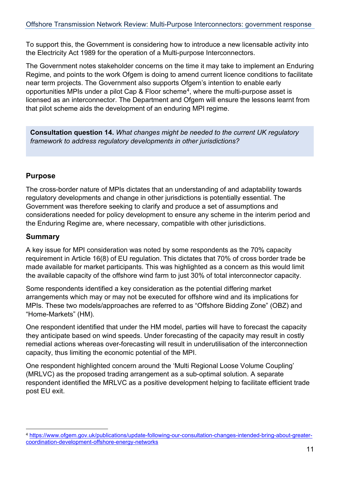To support this, the Government is considering how to introduce a new licensable activity into the Electricity Act 1989 for the operation of a Multi-purpose Interconnectors.

The Government notes stakeholder concerns on the time it may take to implement an Enduring Regime, and points to the work Ofgem is doing to amend current licence conditions to facilitate near term projects. The Government also supports Ofgem's intention to enable early opportunities MPIs under a pilot Cap & Floor scheme<sup>4</sup>, where the multi-purpose asset is licensed as an interconnector. The Department and Ofgem will ensure the lessons learnt from that pilot scheme aids the development of an enduring MPI regime.

**Consultation question 14.** *What changes might be needed to the current UK regulatory framework to address regulatory developments in other jurisdictions?*

### **Purpose**

The cross-border nature of MPIs dictates that an understanding of and adaptability towards regulatory developments and change in other jurisdictions is potentially essential. The Government was therefore seeking to clarify and produce a set of assumptions and considerations needed for policy development to ensure any scheme in the interim period and the Enduring Regime are, where necessary, compatible with other jurisdictions.

### **Summary**

A key issue for MPI consideration was noted by some respondents as the 70% capacity requirement in Article 16(8) of EU regulation. This dictates that 70% of cross border trade be made available for market participants. This was highlighted as a concern as this would limit the available capacity of the offshore wind farm to just 30% of total interconnector capacity.

Some respondents identified a key consideration as the potential differing market arrangements which may or may not be executed for offshore wind and its implications for MPIs. These two models/approaches are referred to as "Offshore Bidding Zone" (OBZ) and "Home-Markets" (HM).

One respondent identified that under the HM model, parties will have to forecast the capacity they anticipate based on wind speeds. Under forecasting of the capacity may result in costly remedial actions whereas over-forecasting will result in underutilisation of the interconnection capacity, thus limiting the economic potential of the MPI.

One respondent highlighted concern around the 'Multi Regional Loose Volume Coupling' (MRLVC) as the proposed trading arrangement as a sub-optimal solution. A separate respondent identified the MRLVC as a positive development helping to facilitate efficient trade post EU exit.

<span id="page-10-0"></span><sup>4</sup> [https://www.ofgem.gov.uk/publications/update-following-our-consultation-changes-intended-bring-about-greater](https://www.ofgem.gov.uk/publications/update-following-our-consultation-changes-intended-bring-about-greater-coordination-development-offshore-energy-networks)[coordination-development-offshore-energy-networks](https://www.ofgem.gov.uk/publications/update-following-our-consultation-changes-intended-bring-about-greater-coordination-development-offshore-energy-networks)